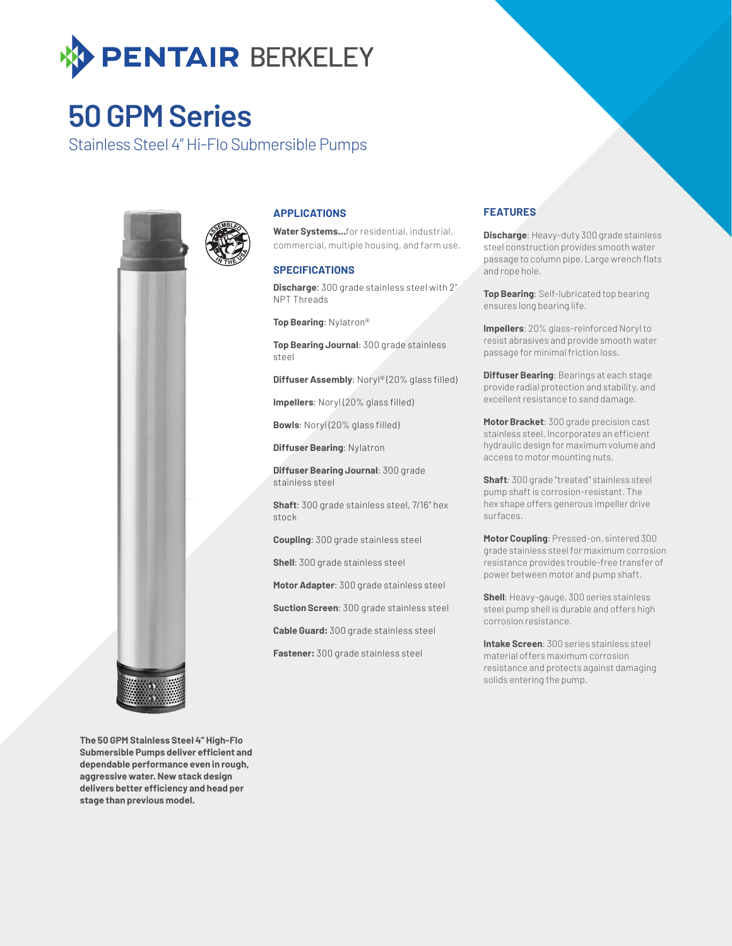

## **50 GPM Series**

Stainless Steel 4" Hi-Flo Submersible Pumps



### **APPLICATIONS**

**Water Systems…**for residential, industrial, commercial, multiple housing, and farm use.

#### **SPECIFICATIONS**

**Discharge**: 300 grade stainless steel with 2" NPT Threads

**Top Bearing**: Nylatron®

**Top Bearing Journal**: 300 grade stainless steel

**Diffuser Assembly**: Noryl® (20% glass filled)

**Impellers**: Noryl (20% glass filled)

**Bowls**: Noryl (20% glass filled)

**Diffuser Bearing**: Nylatron

**Diffuser Bearing Journal**: 300 grade stainless steel

**Shaft**: 300 grade stainless steel, 7/16" hex stock

**Coupling**: 300 grade stainless steel

**Shell**: 300 grade stainless steel

**Motor Adapter**: 300 grade stainless steel

**Suction Screen**: 300 grade stainless steel

**Cable Guard:** 300 grade stainless steel

**Fastener:** 300 grade stainless steel

### **FEATURES**

**Discharge**: Heavy-duty 300 grade stainless steel construction provides smooth water passage to column pipe. Large wrench flats and rope hole.

**Top Bearing**: Self-lubricated top bearing ensures long bearing life.

**Impellers**: 20% glass-reinforced Noryl to resist abrasives and provide smooth water passage for minimal friction loss.

**Diffuser Bearing**: Bearings at each stage provide radial protection and stability, and excellent resistance to sand damage.

**Motor Bracket**: 300 grade precision cast stainless steel. Incorporates an efficient hydraulic design for maximum volume and access to motor mounting nuts.

**Shaft**: 300 grade "treated" stainless steel pump shaft is corrosion-resistant. The hex shape offers generous impeller drive surfaces.

**Motor Coupling**: Pressed-on, sintered 300 grade stainless steel for maximum corrosion resistance provides trouble-free transfer of power between motor and pump shaft.

**Shell**: Heavy-gauge, 300 series stainless steel pump shell is durable and offers high corrosion resistance.

**Intake Screen**: 300 series stainless steel material offers maximum corrosion resistance and protects against damaging solids entering the pump.

**The 50 GPM Stainless Steel 4" High-Flo Submersible Pumps deliver efficient and dependable performance even in rough, aggressive water. New stack design delivers better efficiency and head per stage than previous model.**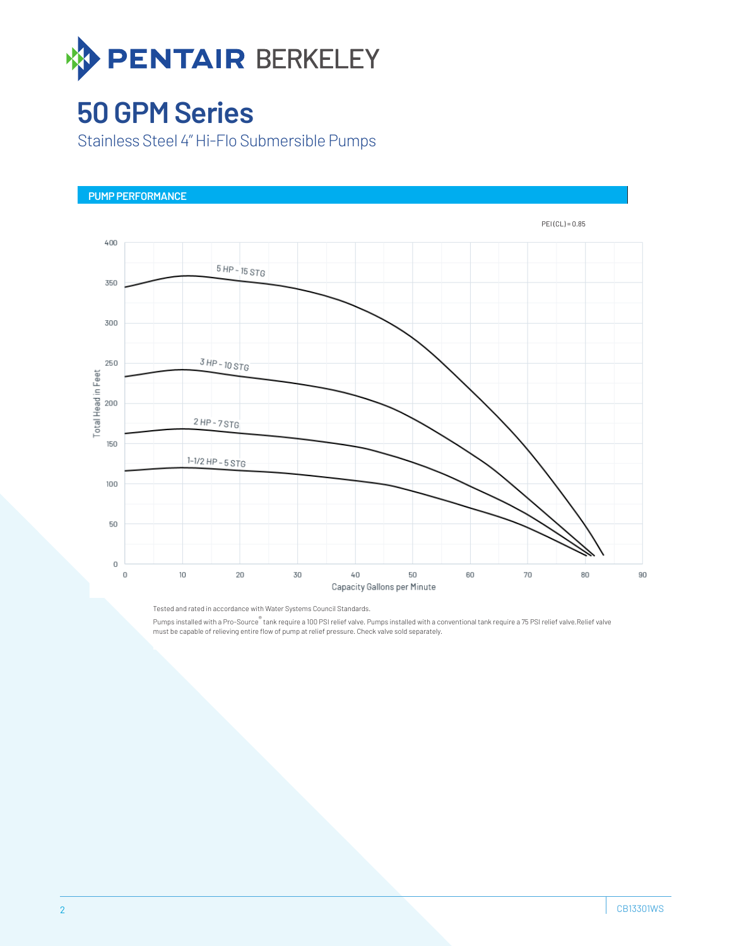

## **50 GPM Series**

Stainless Steel 4" Hi-Flo Submersible Pumps



Tested and rated in accordance with Water Systems Council Standards. Pumps installed with a Pro-Source® tank require a 100 PSI relief valve. Pumps installed with a conventional tank require a 75 PSI relief valve.Relief valve must be capable of relieving entire flow of pump at relief pressure. Check valve sold separately.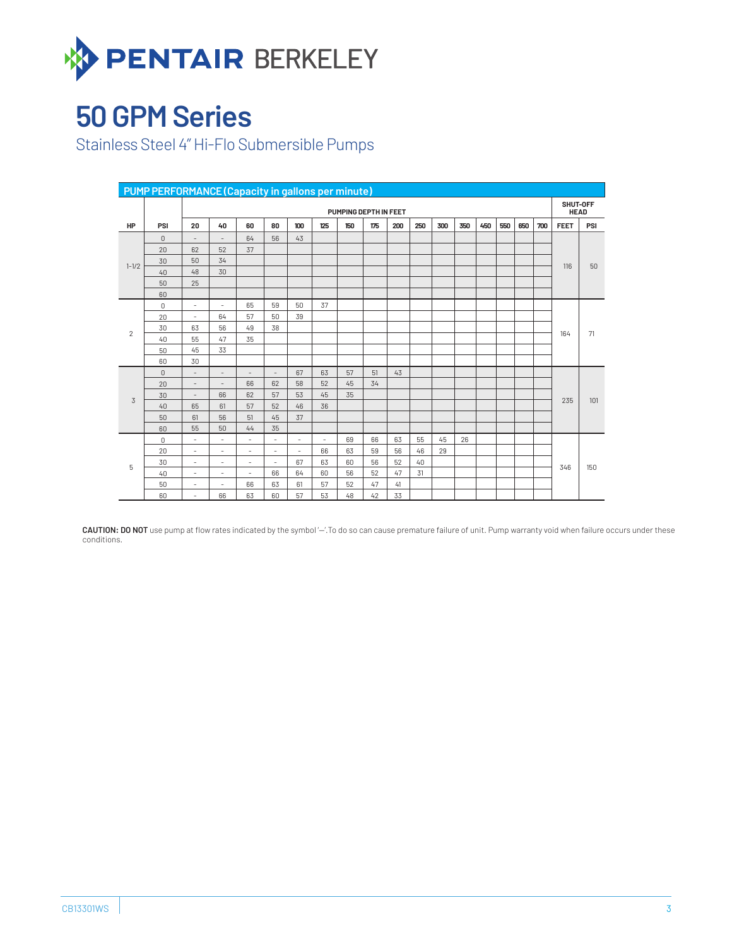

# **50 GPM Series**

Stainless Steel 4" Hi-Flo Submersible Pumps

| <b>PUMP PERFORMANCE (Capacity in gallons per minute)</b> |                |                          |                          |                          |                          |                          |                          |     |     |     |     |     |                         |     |     |     |     |             |     |
|----------------------------------------------------------|----------------|--------------------------|--------------------------|--------------------------|--------------------------|--------------------------|--------------------------|-----|-----|-----|-----|-----|-------------------------|-----|-----|-----|-----|-------------|-----|
|                                                          |                | PUMPING DEPTH IN FEET    |                          |                          |                          |                          |                          |     |     |     |     |     | SHUT-OFF<br><b>HEAD</b> |     |     |     |     |             |     |
| HP                                                       | PSI            | 20                       | 40                       | 60                       | 80                       | 100                      | 125                      | 150 | 175 | 200 | 250 | 300 | 350                     | 450 | 550 | 650 | 700 | <b>FEET</b> | PSI |
| $1 - 1/2$                                                | $\overline{0}$ | $\overline{\phantom{a}}$ | $\overline{\phantom{a}}$ | 64                       | 56                       | 43                       |                          |     |     |     |     |     |                         |     |     |     |     | 116         | 50  |
|                                                          | 20             | 62                       | 52                       | 37                       |                          |                          |                          |     |     |     |     |     |                         |     |     |     |     |             |     |
|                                                          | 30             | 50                       | 34                       |                          |                          |                          |                          |     |     |     |     |     |                         |     |     |     |     |             |     |
|                                                          | 40             | 48                       | 30                       |                          |                          |                          |                          |     |     |     |     |     |                         |     |     |     |     |             |     |
|                                                          | 50             | 25                       |                          |                          |                          |                          |                          |     |     |     |     |     |                         |     |     |     |     |             |     |
|                                                          | 60             |                          |                          |                          |                          |                          |                          |     |     |     |     |     |                         |     |     |     |     |             |     |
| $\overline{2}$                                           | $\mathbf 0$    | $\overline{\phantom{a}}$ | $\overline{\phantom{a}}$ | 65                       | 59                       | 50                       | 37                       |     |     |     |     |     |                         |     |     |     |     | 164         | 71  |
|                                                          | 20             | $\overline{\phantom{a}}$ | 64                       | 57                       | 50                       | 39                       |                          |     |     |     |     |     |                         |     |     |     |     |             |     |
|                                                          | 30             | 63                       | 56                       | 49                       | 38                       |                          |                          |     |     |     |     |     |                         |     |     |     |     |             |     |
|                                                          | 40             | 55                       | 47                       | 35                       |                          |                          |                          |     |     |     |     |     |                         |     |     |     |     |             |     |
|                                                          | 50             | 45                       | 33                       |                          |                          |                          |                          |     |     |     |     |     |                         |     |     |     |     |             |     |
|                                                          | 60             | 30                       |                          |                          |                          |                          |                          |     |     |     |     |     |                         |     |     |     |     |             |     |
|                                                          | $\overline{0}$ | $\overline{\phantom{a}}$ | $\overline{\phantom{a}}$ | $\overline{\phantom{a}}$ | $\overline{\phantom{a}}$ | 67                       | 63                       | 57  | 51  | 43  |     |     |                         |     |     |     |     | 235         | 101 |
|                                                          | 20             | $\overline{\phantom{a}}$ | $\overline{\phantom{a}}$ | 66                       | 62                       | 58                       | 52                       | 45  | 34  |     |     |     |                         |     |     |     |     |             |     |
| $\overline{3}$                                           | 30             | $\overline{\phantom{a}}$ | 66                       | 62                       | 57                       | 53                       | 45                       | 35  |     |     |     |     |                         |     |     |     |     |             |     |
|                                                          | 40             | 65                       | 61                       | 57                       | 52                       | 46                       | 36                       |     |     |     |     |     |                         |     |     |     |     |             |     |
|                                                          | 50             | 61                       | 56                       | 51                       | 45                       | 37                       |                          |     |     |     |     |     |                         |     |     |     |     |             |     |
|                                                          | 60             | 55                       | 50                       | 44                       | 35                       |                          |                          |     |     |     |     |     |                         |     |     |     |     |             |     |
| 5                                                        | 0              | $\overline{\phantom{a}}$ | $\sim$                   | $\overline{\phantom{a}}$ | $\overline{\phantom{a}}$ | $\sim$                   | $\overline{\phantom{a}}$ | 69  | 66  | 63  | 55  | 45  | 26                      |     |     |     |     | 346         | 150 |
|                                                          | 20             | $\overline{\phantom{a}}$ | $\sim$                   | $\overline{\phantom{a}}$ | $\sim$                   | $\overline{\phantom{a}}$ | 66                       | 63  | 59  | 56  | 46  | 29  |                         |     |     |     |     |             |     |
|                                                          | 30             | $\overline{\phantom{a}}$ | $\sim$                   | $\sim$                   | $\overline{\phantom{a}}$ | 67                       | 63                       | 60  | 56  | 52  | 40  |     |                         |     |     |     |     |             |     |
|                                                          | 40             | $\overline{\phantom{a}}$ | $\sim$                   | $\overline{\phantom{a}}$ | 66                       | 64                       | 60                       | 56  | 52  | 47  | 31  |     |                         |     |     |     |     |             |     |
|                                                          | 50             | $\overline{\phantom{a}}$ | $\overline{\phantom{a}}$ | 66                       | 63                       | 61                       | 57                       | 52  | 47  | 41  |     |     |                         |     |     |     |     |             |     |
|                                                          | 60             | $\overline{\phantom{a}}$ | 66                       | 63                       | 60                       | 57                       | 53                       | 48  | 42  | 33  |     |     |                         |     |     |     |     |             |     |

CAUTION: DO NOT use pump at flow rates indicated by the symbol '-'.To do so can cause premature failure of unit. Pump warranty void when failure occurs under these conditions.